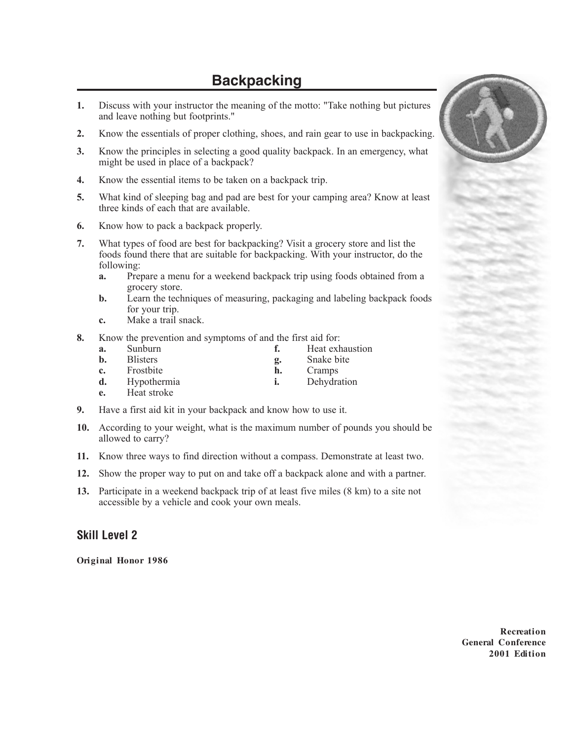## **Backpacking**

- **1.** Discuss with your instructor the meaning of the motto: "Take nothing but pictures and leave nothing but footprints."
- **2.** Know the essentials of proper clothing, shoes, and rain gear to use in backpacking.
- **3.** Know the principles in selecting a good quality backpack. In an emergency, what might be used in place of a backpack?
- **4.** Know the essential items to be taken on a backpack trip.
- **5.** What kind of sleeping bag and pad are best for your camping area? Know at least three kinds of each that are available.
- **6.** Know how to pack a backpack properly.
- **7.** What types of food are best for backpacking? Visit a grocery store and list the foods found there that are suitable for backpacking. With your instructor, do the following:
	- **a.** Prepare a menu for a weekend backpack trip using foods obtained from a grocery store.
	- **b.** Learn the techniques of measuring, packaging and labeling backpack foods for your trip.
	- **c.** Make a trail snack.
- **8.** Know the prevention and symptoms of and the first aid for:
	- **a.** Sunburn **f.** Heat exhaustion **b.** Blisters **g.** Snake bite **c.** Frostbite **h.** Cramps **d.** Hypothermia **i.** Dehydration
	- **e.** Heat stroke
- **9.** Have a first aid kit in your backpack and know how to use it.
- **10.** According to your weight, what is the maximum number of pounds you should be allowed to carry?
- **11.** Know three ways to find direction without a compass. Demonstrate at least two.
- **12.** Show the proper way to put on and take off a backpack alone and with a partner.
- **13.** Participate in a weekend backpack trip of at least five miles (8 km) to a site not accessible by a vehicle and cook your own meals.

## **Skill Level 2**

**Original Honor 1986**

**Recreation General Conference 2001 Edition**